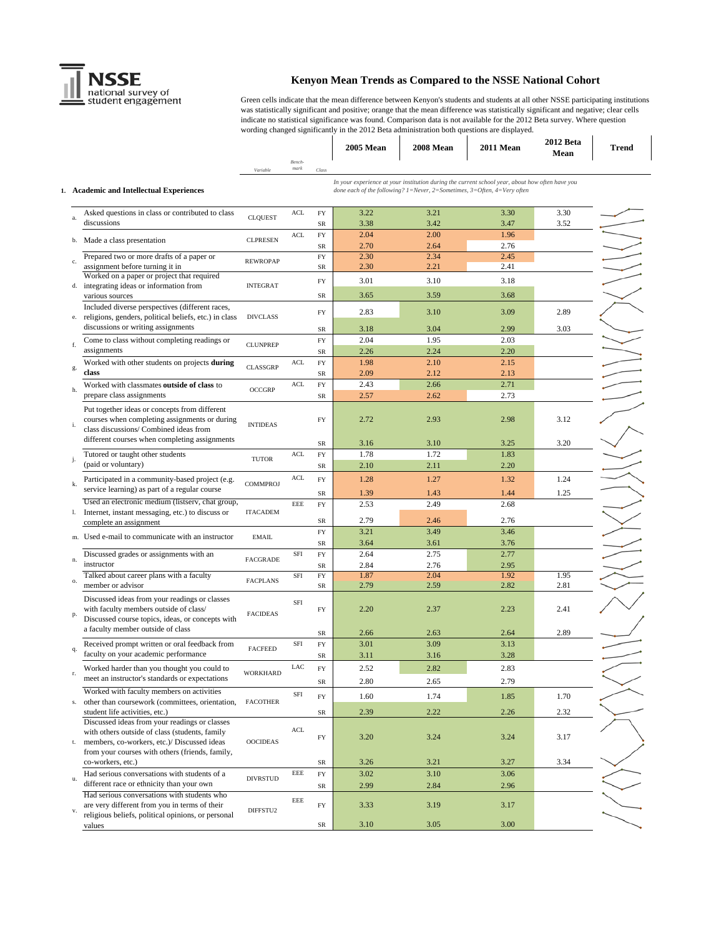

# **Kenyon Mean Trends as Compared to the NSSE National Cohort**

Green cells indicate that the mean difference between Kenyon's students and students at all other NSSE participating institutions was statistically significant and positive; orange that the mean difference was statistically significant and negative; clear cells indicate no statistical significance was found. Comparison data is not available for the 2012 Beta survey. Where question wording changed significantly in the 2012 Beta administration both questions are displayed.

|             |                                                                                                                                                                                                   |                 | <b>Bench</b> |                         | <b>2005 Mean</b> | 2008 Mean                                                                                                                                                                  | 2011 Mean    | 2012 Beta<br>Mean | <b>Trend</b> |
|-------------|---------------------------------------------------------------------------------------------------------------------------------------------------------------------------------------------------|-----------------|--------------|-------------------------|------------------|----------------------------------------------------------------------------------------------------------------------------------------------------------------------------|--------------|-------------------|--------------|
|             |                                                                                                                                                                                                   | Variable        | mark         | Class                   |                  |                                                                                                                                                                            |              |                   |              |
|             | 1. Academic and Intellectual Experiences                                                                                                                                                          |                 |              |                         |                  | In your experience at your institution during the current school year, about how often have you<br>done each of the following? 1=Never, 2=Sometimes, 3=Often, 4=Very often |              |                   |              |
|             | Asked questions in class or contributed to class<br>discussions                                                                                                                                   | <b>CLQUEST</b>  | <b>ACL</b>   | <b>FY</b><br>${\rm SR}$ | 3.22<br>3.38     | 3.21<br>3.42                                                                                                                                                               | 3.30<br>3.47 | 3.30<br>3.52      |              |
| b.          | Made a class presentation                                                                                                                                                                         | <b>CLPRESEN</b> | ACL          | FY                      | 2.04             | 2.00                                                                                                                                                                       | 1.96         |                   |              |
|             | Prepared two or more drafts of a paper or                                                                                                                                                         |                 |              | SR<br>FY                | 2.70<br>2.30     | 2.64<br>2.34                                                                                                                                                               | 2.76<br>2.45 |                   |              |
| c.          | assignment before turning it in                                                                                                                                                                   | <b>REWROPAP</b> |              | ${\rm SR}$              | 2.30             | 2.21                                                                                                                                                                       | 2.41         |                   |              |
|             | Worked on a paper or project that required                                                                                                                                                        |                 |              | FY                      | 3.01             | 3.10                                                                                                                                                                       | 3.18         |                   |              |
| d.          | integrating ideas or information from<br>various sources                                                                                                                                          | <b>INTEGRAT</b> |              | ${\rm SR}$              | 3.65             | 3.59                                                                                                                                                                       | 3.68         |                   |              |
| e.          | Included diverse perspectives (different races,<br>religions, genders, political beliefs, etc.) in class                                                                                          | <b>DIVCLASS</b> |              | FY                      | 2.83             | 3.10                                                                                                                                                                       | 3.09         | 2.89              |              |
|             | discussions or writing assignments                                                                                                                                                                |                 |              | SR                      | 3.18             | 3.04                                                                                                                                                                       | 2.99         | 3.03              |              |
| f.          | Come to class without completing readings or                                                                                                                                                      | <b>CLUNPREP</b> |              | FY                      | 2.04             | 1.95                                                                                                                                                                       | 2.03         |                   |              |
|             | assignments                                                                                                                                                                                       |                 |              | ${\rm SR}$              | 2.26             | 2.24                                                                                                                                                                       | 2.20         |                   |              |
| g.          | Worked with other students on projects during                                                                                                                                                     | <b>CLASSGRP</b> | <b>ACL</b>   | FY                      | 1.98             | 2.10                                                                                                                                                                       | 2.15         |                   |              |
|             | class                                                                                                                                                                                             |                 |              | SR                      | 2.09             | 2.12                                                                                                                                                                       | 2.13         |                   |              |
| h.          | Worked with classmates outside of class to<br>prepare class assignments                                                                                                                           | <b>OCCGRP</b>   | <b>ACL</b>   | FY<br>${\rm SR}$        | 2.43<br>2.57     | 2.66<br>2.62                                                                                                                                                               | 2.71<br>2.73 |                   |              |
| i.          | Put together ideas or concepts from different<br>courses when completing assignments or during<br>class discussions/ Combined ideas from                                                          | <b>INTIDEAS</b> |              | FY                      | 2.72             | 2.93                                                                                                                                                                       | 2.98         | 3.12              |              |
|             | different courses when completing assignments                                                                                                                                                     |                 |              | SR                      | 3.16             | 3.10                                                                                                                                                                       | 3.25         | 3.20              |              |
|             | Tutored or taught other students                                                                                                                                                                  |                 | <b>ACL</b>   | FY                      | 1.78             | 1.72                                                                                                                                                                       | 1.83         |                   |              |
| j.          | (paid or voluntary)                                                                                                                                                                               | <b>TUTOR</b>    |              | ${\rm SR}$              | 2.10             | 2.11                                                                                                                                                                       | 2.20         |                   |              |
|             | Participated in a community-based project (e.g.                                                                                                                                                   |                 | $\mbox{ACL}$ | FY                      | 1.28             | 1.27                                                                                                                                                                       | 1.32         | 1.24              |              |
|             | service learning) as part of a regular course                                                                                                                                                     | <b>COMMPROJ</b> |              |                         | 1.39             | 1.43                                                                                                                                                                       | 1.44         | 1.25              |              |
|             | Used an electronic medium (listserv, chat group,                                                                                                                                                  |                 | EEE          | ${\rm SR}$<br>FY        | 2.53             | 2.49                                                                                                                                                                       | 2.68         |                   |              |
| I.          | Internet, instant messaging, etc.) to discuss or<br>complete an assignment                                                                                                                        | <b>ITACADEM</b> |              | SR                      | 2.79             | 2.46                                                                                                                                                                       | 2.76         |                   |              |
|             |                                                                                                                                                                                                   |                 |              | FY                      | 3.21             | 3.49                                                                                                                                                                       | 3.46         |                   |              |
|             | m. Used e-mail to communicate with an instructor                                                                                                                                                  | <b>EMAIL</b>    |              | ${\rm SR}$              | 3.64             | 3.61                                                                                                                                                                       | 3.76         |                   |              |
| n.          | Discussed grades or assignments with an                                                                                                                                                           | <b>FACGRADE</b> | SFI          | FY                      | 2.64             | 2.75                                                                                                                                                                       | 2.77         |                   |              |
|             | instructor                                                                                                                                                                                        |                 |              | ${\rm SR}$              | 2.84             | 2.76                                                                                                                                                                       | 2.95         |                   |              |
| 0.          | Talked about career plans with a faculty                                                                                                                                                          | <b>FACPLANS</b> | SFI          | FY                      | 1.87             | 2.04                                                                                                                                                                       | 1.92         | 1.95              |              |
|             | member or advisor<br>Discussed ideas from your readings or classes<br>with faculty members outside of class/                                                                                      |                 | SFI          | ${\rm SR}$<br>FY        | 2.79<br>2.20     | 2.59<br>2.37                                                                                                                                                               | 2.82<br>2.23 | 2.81<br>2.41      |              |
| p.          | Discussed course topics, ideas, or concepts with<br>a faculty member outside of class                                                                                                             | <b>FACIDEAS</b> |              |                         | 2.66             | 2.63                                                                                                                                                                       | 2.64         | 2.89              |              |
|             | Received prompt written or oral feedback from                                                                                                                                                     |                 | SFI          | SR<br>FY                | 3.01             | 3.09                                                                                                                                                                       | 3.13         |                   |              |
| q.          | faculty on your academic performance                                                                                                                                                              | <b>FACFEED</b>  |              | ${\rm SR}$              | 3.11             | 3.16                                                                                                                                                                       | 3.28         |                   |              |
| r.          | Worked harder than you thought you could to                                                                                                                                                       | <b>WORKHARD</b> | LAC          | FY                      | 2.52             | 2.82                                                                                                                                                                       | 2.83         |                   |              |
|             | meet an instructor's standards or expectations                                                                                                                                                    |                 |              | SR                      | 2.80             | 2.65                                                                                                                                                                       | 2.79         |                   |              |
| s.          | Worked with faculty members on activities<br>other than coursework (committees, orientation,                                                                                                      | <b>FACOTHER</b> | SFI          | FY                      | 1.60             | 1.74                                                                                                                                                                       | 1.85         | 1.70              |              |
|             | student life activities, etc.)                                                                                                                                                                    |                 |              | SR                      | 2.39             | 2.22                                                                                                                                                                       | 2.26         | 2.32              |              |
| t.          | Discussed ideas from your readings or classes<br>with others outside of class (students, family<br>members, co-workers, etc.)/ Discussed ideas<br>from your courses with others (friends, family, | <b>OOCIDEAS</b> | <b>ACL</b>   | FY                      | 3.20             | 3.24                                                                                                                                                                       | 3.24         | 3.17              |              |
|             | co-workers, etc.)                                                                                                                                                                                 |                 |              | SR                      | 3.26             | 3.21                                                                                                                                                                       | 3.27         | 3.34              |              |
| u.          | Had serious conversations with students of a                                                                                                                                                      | <b>DIVRSTUD</b> | EEE          | FY                      | 3.02             | 3.10                                                                                                                                                                       | 3.06         |                   |              |
|             | different race or ethnicity than your own<br>Had serious conversations with students who                                                                                                          |                 |              | SR                      | 2.99             | 2.84                                                                                                                                                                       | 2.96         |                   |              |
| $V_{\star}$ | are very different from you in terms of their<br>religious beliefs, political opinions, or personal                                                                                               | DIFFSTU2        | EEE          | FY                      | 3.33             | 3.19                                                                                                                                                                       | 3.17         |                   |              |
|             | values                                                                                                                                                                                            |                 |              | SR                      | 3.10             | 3.05                                                                                                                                                                       | 3.00         |                   |              |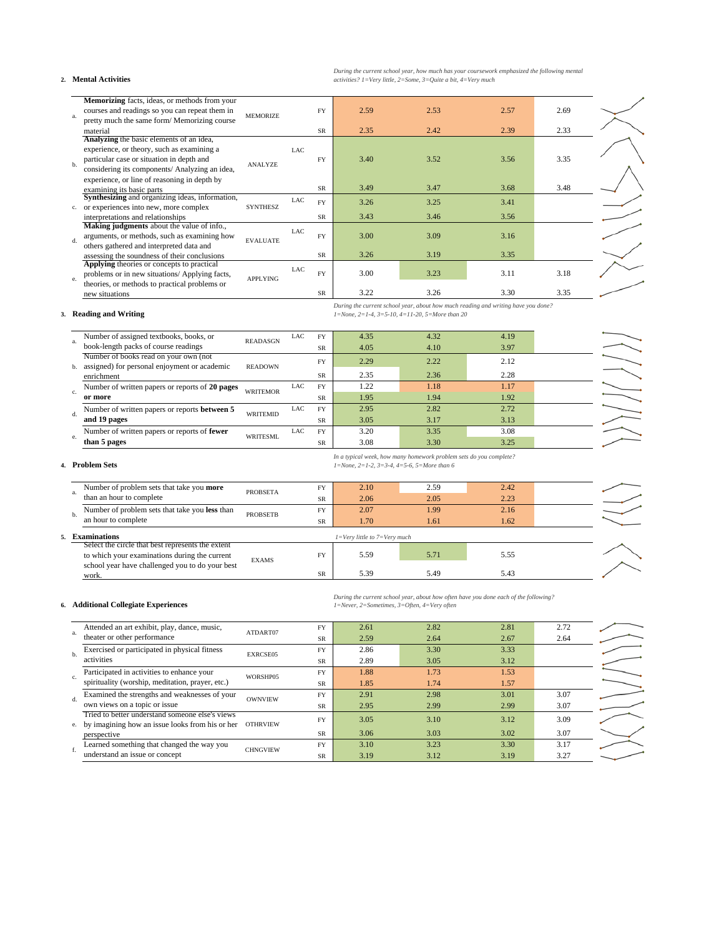# **2. Mental Activities**

*During the current school year, how much has your coursework emphasized the following mental activities? 1=Very little, 2=Some, 3=Quite a bit, 4=Very much*

|                | Memorizing facts, ideas, or methods from your          |                 |            |           |      |      |      |      |
|----------------|--------------------------------------------------------|-----------------|------------|-----------|------|------|------|------|
| a <sub>1</sub> | courses and readings so you can repeat them in         | <b>MEMORIZE</b> |            | <b>FY</b> | 2.59 | 2.53 | 2.57 | 2.69 |
|                | pretty much the same form/ Memorizing course           |                 |            |           |      |      |      |      |
|                | material                                               |                 |            | SR        | 2.35 | 2.42 | 2.39 | 2.33 |
|                | Analyzing the basic elements of an idea,               |                 |            |           |      |      |      |      |
|                | experience, or theory, such as examining a             |                 | <b>LAC</b> |           |      |      |      |      |
| h              | particular case or situation in depth and              | <b>ANALYZE</b>  |            | <b>FY</b> | 3.40 | 3.52 | 3.56 | 3.35 |
|                | considering its components/ Analyzing an idea,         |                 |            |           |      |      |      |      |
|                | experience, or line of reasoning in depth by           |                 |            |           |      |      |      |      |
|                | examining its basic parts                              |                 |            | <b>SR</b> | 3.49 | 3.47 | 3.68 | 3.48 |
|                | <b>Synthesizing</b> and organizing ideas, information, |                 | LAC        | <b>FY</b> | 3.26 | 3.25 | 3.41 |      |
|                | c. or experiences into new, more complex               | <b>SYNTHESZ</b> |            |           |      |      |      |      |
|                | interpretations and relationships                      |                 |            | SR        | 3.43 | 3.46 | 3.56 |      |
|                | Making judgments about the value of info.,             |                 | LAC        |           |      |      |      |      |
| $d_{-}$        | arguments, or methods, such as examining how           | <b>EVALUATE</b> |            | <b>FY</b> | 3.00 | 3.09 | 3.16 |      |
|                | others gathered and interpreted data and               |                 |            |           |      |      |      |      |
|                | assessing the soundness of their conclusions           |                 |            | <b>SR</b> | 3.26 | 3.19 | 3.35 |      |
|                | Applying theories or concepts to practical             |                 | <b>LAC</b> |           |      |      |      |      |
| e.             | problems or in new situations/ Applying facts,         | <b>APPLYING</b> |            | <b>FY</b> | 3.00 | 3.23 | 3.11 | 3.18 |
|                | theories, or methods to practical problems or          |                 |            |           |      |      |      |      |
|                | new situations                                         |                 |            | <b>SR</b> | 3.22 | 3.26 | 3.30 | 3.35 |

#### **3. Reading and Writing**

*During the current school year, about how much reading and writing have you done? 1=None, 2=1-4, 3=5-10, 4=11-20, 5=More than 20*

|    | Number of assigned textbooks, books, or              | <b>READASGN</b> | LAC | <b>FY</b> | 4.35 | 4.32 | 4.19 |  |
|----|------------------------------------------------------|-----------------|-----|-----------|------|------|------|--|
|    | book-length packs of course readings                 |                 |     | <b>SR</b> | 4.05 | 4.10 | 3.97 |  |
|    | Number of books read on your own (not                |                 |     | <b>FY</b> | 2.29 | 2.22 | 2.12 |  |
|    | b. assigned) for personal enjoyment or academic      | <b>READOWN</b>  |     |           |      |      |      |  |
|    | enrichment                                           |                 |     | SR        | 2.35 | 2.36 | 2.28 |  |
| c. | Number of written papers or reports of 20 pages      | <b>WRITEMOR</b> | LAC | <b>FY</b> | 1.22 | 1.18 | 1.17 |  |
|    | or more                                              |                 |     | <b>SR</b> | 1.95 | 1.94 | 1.92 |  |
| d. | Number of written papers or reports <b>between 5</b> | <b>WRITEMID</b> | LAC | <b>FY</b> | 2.95 | 2.82 | 2.72 |  |
|    | and 19 pages                                         |                 |     | <b>SR</b> | 3.05 | 3.17 | 3.13 |  |
|    | Number of written papers or reports of fewer         | <b>WRITESML</b> | LAC | <b>FY</b> | 3.20 | 3.35 | 3.08 |  |
|    | than 5 pages                                         |                 |     | <b>SR</b> | 3.08 | 3.30 | 3.25 |  |

### **4. Problem Sets**

| Number of problem sets that take you <b>more</b>  | <b>FY</b><br><b>PROBSETA</b> | 2.10                             | 2.59 | 2.42 |  |
|---------------------------------------------------|------------------------------|----------------------------------|------|------|--|
| than an hour to complete                          | <b>SR</b>                    | 2.06                             | 2.05 | 2.23 |  |
| Number of problem sets that take you less than    | <b>FY</b><br><b>PROBSETB</b> | 2.07                             | 1.99 | 2.16 |  |
| an hour to complete                               | <b>SR</b>                    | 1.70                             | 1.61 | 1.62 |  |
| <b>Examinations</b>                               |                              | $I=Verv$ little to $7=Verv$ much |      |      |  |
| Select the circle that best represents the extent |                              |                                  |      |      |  |

to which your examinations during the current school year have challenged you to do your best work. EXAMS

**6. Additional Collegiate Experiences**

*During the current school year, about how often have you done each of the following? 1=Never, 2=Sometimes, 3=Often, 4=Very often* 

FY 5.59 5.71 5.55 SR 5.39 5.49 5.43

*In a typical week, how many homework problem sets do you complete? 1=None, 2=1-2, 3=3-4, 4=5-6, 5=More than 6*

| a. | Attended an art exhibit, play, dance, music,       | ATDART07        | FY        | 2.61 | 2.82 | 2.81 | 2.72 |
|----|----------------------------------------------------|-----------------|-----------|------|------|------|------|
|    | theater or other performance                       |                 | <b>SR</b> | 2.59 | 2.64 | 2.67 | 2.64 |
|    | Exercised or participated in physical fitness      | <b>EXRCSE05</b> | FY        | 2.86 | 3.30 | 3.33 |      |
|    | activities                                         |                 | <b>SR</b> | 2.89 | 3.05 | 3.12 |      |
|    | Participated in activities to enhance your         | WORSHP05        | <b>FY</b> | 1.88 | 1.73 | 1.53 |      |
|    | spirituality (worship, meditation, prayer, etc.)   |                 | <b>SR</b> | 1.85 | 1.74 | 1.57 |      |
|    | Examined the strengths and weaknesses of your      | <b>OWNVIEW</b>  | <b>FY</b> | 2.91 | 2.98 | 3.01 | 3.07 |
| d. | own views on a topic or issue                      |                 | <b>SR</b> | 2.95 | 2.99 | 2.99 | 3.07 |
|    | Tried to better understand someone else's views    |                 | <b>FY</b> | 3.05 | 3.10 | 3.12 | 3.09 |
|    | e. by imagining how an issue looks from his or her | <b>OTHRVIEW</b> |           |      |      |      |      |
|    | perspective                                        |                 | <b>SR</b> | 3.06 | 3.03 | 3.02 | 3.07 |
|    | Learned something that changed the way you         | <b>CHNGVIEW</b> | <b>FY</b> | 3.10 | 3.23 | 3.30 | 3.17 |
|    | understand an issue or concept                     |                 | <b>SR</b> | 3.19 | 3.12 | 3.19 | 3.27 |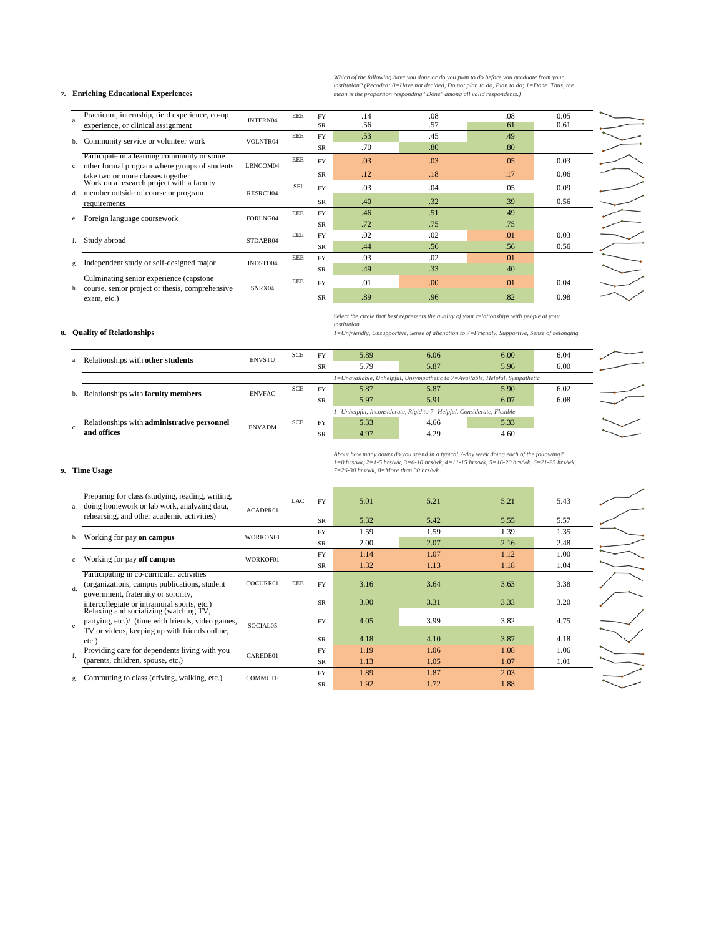### **7. Enriching Educational Experiences**

Which of the following have you done or do you plan to do before you graduate from your<br>institution? (Recoded: 0=Have not decided, Do not plan to do, Plan to do; 1=Done. Thus, the<br>mean is the proportion responding "Done" a

|    | Practicum, internship, field experience, co-op     | <b>INTERN04</b> | EEE        | <b>FY</b> | .14 | .08 | .08 | 0.05 |  |
|----|----------------------------------------------------|-----------------|------------|-----------|-----|-----|-----|------|--|
| a. | experience, or clinical assignment                 |                 |            | <b>SR</b> | .56 | .57 | .61 | 0.61 |  |
|    | b. Community service or volunteer work             | VOLNTR04        | EEE        | <b>FY</b> | .53 | .45 | .49 |      |  |
|    |                                                    |                 |            | <b>SR</b> | .70 | .80 | .80 |      |  |
|    | Participate in a learning community or some        |                 | EEE        | <b>FY</b> | .03 | .03 | .05 | 0.03 |  |
|    | c. other formal program where groups of students   | LRNCOM04        |            |           |     |     |     |      |  |
|    | take two or more classes together                  |                 |            | <b>SR</b> | .12 | .18 | .17 | 0.06 |  |
|    | Work on a research project with a faculty          |                 | <b>SFI</b> | <b>FY</b> | .03 | .04 | .05 | 0.09 |  |
|    | d. member outside of course or program             | RESRCH04        |            |           |     |     |     |      |  |
|    | requirements                                       |                 |            | <b>SR</b> | .40 | .32 | .39 | 0.56 |  |
|    | e. Foreign language coursework                     | FORLNG04        | EEE        | <b>FY</b> | .46 | .51 | .49 |      |  |
|    |                                                    |                 |            | <b>SR</b> | .72 | .75 | .75 |      |  |
|    | f. Study abroad                                    | STDABR04        | EEE        | <b>FY</b> | .02 | .02 | .01 | 0.03 |  |
|    |                                                    |                 |            | <b>SR</b> | .44 | .56 | .56 | 0.56 |  |
|    | g. Independent study or self-designed major        | INDSTD04        | EEE        | <b>FY</b> | .03 | .02 | .01 |      |  |
|    |                                                    |                 |            | <b>SR</b> | .49 | .33 | .40 |      |  |
|    | Culminating senior experience (capstone)           |                 | EEE        | <b>FY</b> | .01 | .00 | .01 | 0.04 |  |
|    | h. course, senior project or thesis, comprehensive | SNRX04          |            |           |     |     |     |      |  |
|    | exam, etc.)                                        |                 |            | <b>SR</b> | .89 | .96 | .82 | 0.98 |  |

# **8. Quality of Relationships**

**9. Time Usage**

*Select the circle that best represents the quality of your relationships with people at your institution.* 

*1=Unfriendly, Unsupportive, Sense of alienation to 7=Friendly, Supportive, Sense of belonging*

|    | a. Relationships with other students        | <b>ENVSTU</b> | <b>SCE</b> | FY        | 5.89 | 6.06                                                                         | 6.00 | 6.04 |
|----|---------------------------------------------|---------------|------------|-----------|------|------------------------------------------------------------------------------|------|------|
|    |                                             |               |            | <b>SR</b> | 5.79 | 5.87                                                                         | 5.96 | 6.00 |
|    |                                             |               |            |           |      | 1=Unavailable, Unhelpful, Unsympathetic to 7=Available, Helpful, Sympathetic |      |      |
|    | b. Relationships with faculty members       | <b>ENVFAC</b> | <b>SCE</b> | <b>FY</b> | 5.87 | 5.87                                                                         | 5.90 | 6.02 |
|    |                                             |               |            | <b>SR</b> | 5.97 | 5.91                                                                         | 6.07 | 6.08 |
|    |                                             |               |            |           |      | 1=Unhelpful, Inconsiderate, Rigid to 7=Helpful, Considerate, Flexible        |      |      |
|    | Relationships with administrative personnel | <b>ENVADM</b> | <b>SCE</b> | <b>FY</b> | 5.33 | 4.66                                                                         | 5.33 |      |
| c. | and offices                                 |               |            | SR        | 4.97 | 4.29                                                                         | 4.60 |      |

About how many hours do you spend in a typical 7-day week doing each of the following?<br>1=0 hrs/wk, 2=1-5 hrs/wk, 3=6-10 hrs/wk, 4=11-15 hrs/wk, 5=16-20 hrs/wk, 6=21-25 hrs/wk,<br>7=26-30 hrs/wk, 8=More than 30 hrs/wk

| a.    | Preparing for class (studying, reading, writing,<br>doing homework or lab work, analyzing data, | ACADPR01       | LAC | <b>FY</b> | 5.01 | 5.21 | 5.21 | 5.43 |
|-------|-------------------------------------------------------------------------------------------------|----------------|-----|-----------|------|------|------|------|
|       | rehearsing, and other academic activities)                                                      |                |     | <b>SR</b> | 5.32 | 5.42 | 5.55 | 5.57 |
|       | b. Working for pay on campus                                                                    | WORKON01       |     | <b>FY</b> | 1.59 | 1.59 | 1.39 | 1.35 |
|       |                                                                                                 |                |     | <b>SR</b> | 2.00 | 2.07 | 2.16 | 2.48 |
|       | c. Working for pay off campus                                                                   | WORKOF01       |     | <b>FY</b> | 1.14 | 1.07 | 1.12 | 1.00 |
|       |                                                                                                 |                |     | <b>SR</b> | 1.32 | 1.13 | 1.18 | 1.04 |
|       | Participating in co-curricular activities                                                       |                |     |           |      |      |      |      |
| $d$ . | (organizations, campus publications, student                                                    | COCURR01       | EEE | <b>FY</b> | 3.16 | 3.64 | 3.63 | 3.38 |
|       | government, fraternity or sorority,<br>intercollegiate or intramural sports, etc.)              |                |     | <b>SR</b> | 3.00 | 3.31 | 3.33 | 3.20 |
|       | Relaxing and socializing (watching TV,                                                          |                |     |           |      |      |      |      |
| e.    | partying, etc.)/ (time with friends, video games,                                               | SOCIAL05       |     | <b>FY</b> | 4.05 | 3.99 | 3.82 | 4.75 |
|       | TV or videos, keeping up with friends online,                                                   |                |     |           |      |      |      |      |
|       | etc.                                                                                            |                |     | <b>SR</b> | 4.18 | 4.10 | 3.87 | 4.18 |
| $f$ . | Providing care for dependents living with you                                                   | CAREDE01       |     | <b>FY</b> | 1.19 | 1.06 | 1.08 | 1.06 |
|       | (parents, children, spouse, etc.)                                                               |                |     | <b>SR</b> | 1.13 | 1.05 | 1.07 | 1.01 |
|       | g. Commuting to class (driving, walking, etc.)                                                  | <b>COMMUTE</b> |     | <b>FY</b> | 1.89 | 1.87 | 2.03 |      |
|       |                                                                                                 |                |     | <b>SR</b> | 1.92 | 1.72 | 1.88 |      |